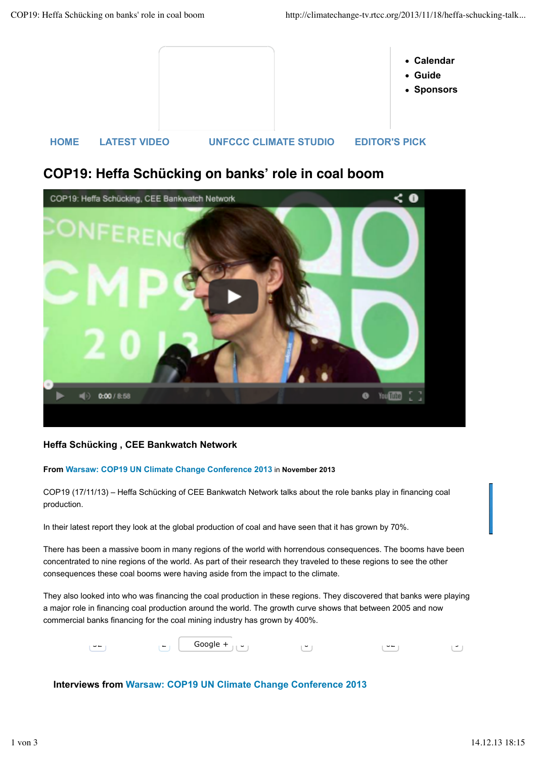

## **COP19: Heffa Schücking on banks! role in coal boom**



## **Heffa Schücking , CEE Bankwatch Network**

## **From Warsaw: COP19 UN Climate Change Conference 2013** in **November 2013**

COP19 (17/11/13) – Heffa Schücking of CEE Bankwatch Network talks about the role banks play in financing coal production.

In their latest report they look at the global production of coal and have seen that it has grown by 70%.

There has been a massive boom in many regions of the world with horrendous consequences. The booms have been concentrated to nine regions of the world. As part of their research they traveled to these regions to see the other consequences these coal booms were having aside from the impact to the climate.

They also looked into who was financing the coal production in these regions. They discovered that banks were playing a major role in financing coal production around the world. The growth curve shows that between 2005 and now commercial banks financing for the coal mining industry has grown by 400%.

| $- -$<br><b>_</b> | Google $+$<br>$\sim$ $\sim$<br>┘ | ັ | $\tilde{}$ |  |
|-------------------|----------------------------------|---|------------|--|
|-------------------|----------------------------------|---|------------|--|

## **Interviews from Warsaw: COP19 UN Climate Change Conference 2013**